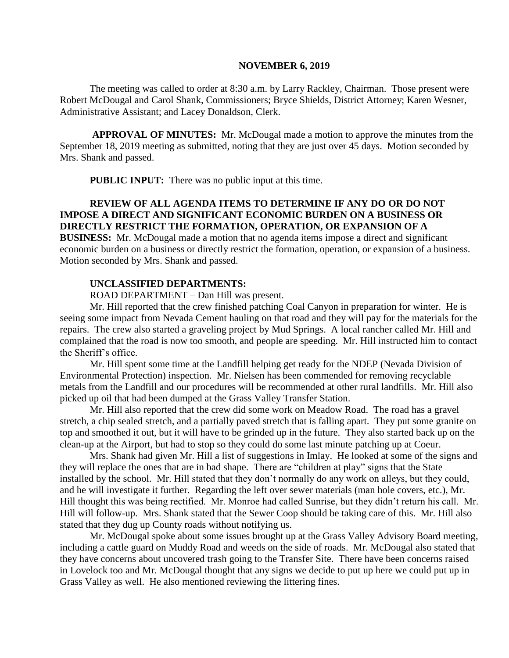#### **NOVEMBER 6, 2019**

The meeting was called to order at 8:30 a.m. by Larry Rackley, Chairman. Those present were Robert McDougal and Carol Shank, Commissioners; Bryce Shields, District Attorney; Karen Wesner, Administrative Assistant; and Lacey Donaldson, Clerk.

**APPROVAL OF MINUTES:** Mr. McDougal made a motion to approve the minutes from the September 18, 2019 meeting as submitted, noting that they are just over 45 days. Motion seconded by Mrs. Shank and passed.

 **PUBLIC INPUT:** There was no public input at this time.

# **REVIEW OF ALL AGENDA ITEMS TO DETERMINE IF ANY DO OR DO NOT IMPOSE A DIRECT AND SIGNIFICANT ECONOMIC BURDEN ON A BUSINESS OR DIRECTLY RESTRICT THE FORMATION, OPERATION, OR EXPANSION OF A**

**BUSINESS:** Mr. McDougal made a motion that no agenda items impose a direct and significant economic burden on a business or directly restrict the formation, operation, or expansion of a business. Motion seconded by Mrs. Shank and passed.

## **UNCLASSIFIED DEPARTMENTS:**

ROAD DEPARTMENT – Dan Hill was present.

Mr. Hill reported that the crew finished patching Coal Canyon in preparation for winter. He is seeing some impact from Nevada Cement hauling on that road and they will pay for the materials for the repairs. The crew also started a graveling project by Mud Springs. A local rancher called Mr. Hill and complained that the road is now too smooth, and people are speeding. Mr. Hill instructed him to contact the Sheriff's office.

Mr. Hill spent some time at the Landfill helping get ready for the NDEP (Nevada Division of Environmental Protection) inspection. Mr. Nielsen has been commended for removing recyclable metals from the Landfill and our procedures will be recommended at other rural landfills. Mr. Hill also picked up oil that had been dumped at the Grass Valley Transfer Station.

Mr. Hill also reported that the crew did some work on Meadow Road. The road has a gravel stretch, a chip sealed stretch, and a partially paved stretch that is falling apart. They put some granite on top and smoothed it out, but it will have to be grinded up in the future. They also started back up on the clean-up at the Airport, but had to stop so they could do some last minute patching up at Coeur.

Mrs. Shank had given Mr. Hill a list of suggestions in Imlay. He looked at some of the signs and they will replace the ones that are in bad shape. There are "children at play" signs that the State installed by the school. Mr. Hill stated that they don't normally do any work on alleys, but they could, and he will investigate it further. Regarding the left over sewer materials (man hole covers, etc.), Mr. Hill thought this was being rectified. Mr. Monroe had called Sunrise, but they didn't return his call. Mr. Hill will follow-up. Mrs. Shank stated that the Sewer Coop should be taking care of this. Mr. Hill also stated that they dug up County roads without notifying us.

Mr. McDougal spoke about some issues brought up at the Grass Valley Advisory Board meeting, including a cattle guard on Muddy Road and weeds on the side of roads. Mr. McDougal also stated that they have concerns about uncovered trash going to the Transfer Site. There have been concerns raised in Lovelock too and Mr. McDougal thought that any signs we decide to put up here we could put up in Grass Valley as well. He also mentioned reviewing the littering fines.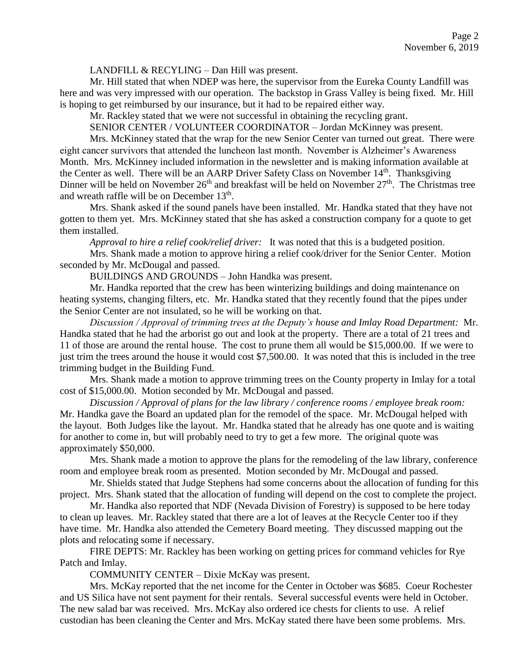LANDFILL & RECYLING – Dan Hill was present.

Mr. Hill stated that when NDEP was here, the supervisor from the Eureka County Landfill was here and was very impressed with our operation. The backstop in Grass Valley is being fixed. Mr. Hill is hoping to get reimbursed by our insurance, but it had to be repaired either way.

Mr. Rackley stated that we were not successful in obtaining the recycling grant.

SENIOR CENTER / VOLUNTEER COORDINATOR – Jordan McKinney was present.

Mrs. McKinney stated that the wrap for the new Senior Center van turned out great. There were eight cancer survivors that attended the luncheon last month. November is Alzheimer's Awareness Month. Mrs. McKinney included information in the newsletter and is making information available at the Center as well. There will be an AARP Driver Safety Class on November 14<sup>th</sup>. Thanksgiving Dinner will be held on November 26<sup>th</sup> and breakfast will be held on November 27<sup>th</sup>. The Christmas tree and wreath raffle will be on December 13<sup>th</sup>.

Mrs. Shank asked if the sound panels have been installed. Mr. Handka stated that they have not gotten to them yet. Mrs. McKinney stated that she has asked a construction company for a quote to get them installed.

*Approval to hire a relief cook/relief driver:* It was noted that this is a budgeted position.

Mrs. Shank made a motion to approve hiring a relief cook/driver for the Senior Center. Motion seconded by Mr. McDougal and passed.

BUILDINGS AND GROUNDS – John Handka was present.

Mr. Handka reported that the crew has been winterizing buildings and doing maintenance on heating systems, changing filters, etc. Mr. Handka stated that they recently found that the pipes under the Senior Center are not insulated, so he will be working on that.

*Discussion / Approval of trimming trees at the Deputy's house and Imlay Road Department:* Mr. Handka stated that he had the arborist go out and look at the property. There are a total of 21 trees and 11 of those are around the rental house. The cost to prune them all would be \$15,000.00. If we were to just trim the trees around the house it would cost \$7,500.00. It was noted that this is included in the tree trimming budget in the Building Fund.

Mrs. Shank made a motion to approve trimming trees on the County property in Imlay for a total cost of \$15,000.00. Motion seconded by Mr. McDougal and passed.

*Discussion / Approval of plans for the law library / conference rooms / employee break room:* Mr. Handka gave the Board an updated plan for the remodel of the space. Mr. McDougal helped with the layout. Both Judges like the layout. Mr. Handka stated that he already has one quote and is waiting for another to come in, but will probably need to try to get a few more. The original quote was approximately \$50,000.

Mrs. Shank made a motion to approve the plans for the remodeling of the law library, conference room and employee break room as presented. Motion seconded by Mr. McDougal and passed.

Mr. Shields stated that Judge Stephens had some concerns about the allocation of funding for this project. Mrs. Shank stated that the allocation of funding will depend on the cost to complete the project.

Mr. Handka also reported that NDF (Nevada Division of Forestry) is supposed to be here today to clean up leaves. Mr. Rackley stated that there are a lot of leaves at the Recycle Center too if they have time. Mr. Handka also attended the Cemetery Board meeting. They discussed mapping out the plots and relocating some if necessary.

FIRE DEPTS: Mr. Rackley has been working on getting prices for command vehicles for Rye Patch and Imlay.

COMMUNITY CENTER – Dixie McKay was present.

Mrs. McKay reported that the net income for the Center in October was \$685. Coeur Rochester and US Silica have not sent payment for their rentals. Several successful events were held in October. The new salad bar was received. Mrs. McKay also ordered ice chests for clients to use. A relief custodian has been cleaning the Center and Mrs. McKay stated there have been some problems. Mrs.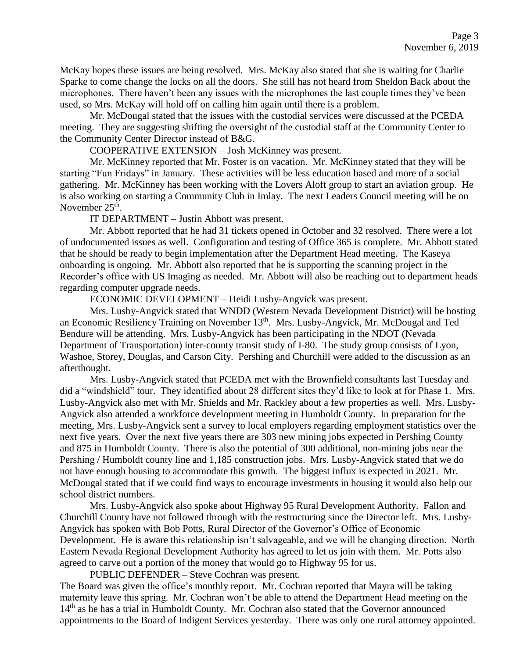McKay hopes these issues are being resolved. Mrs. McKay also stated that she is waiting for Charlie Sparke to come change the locks on all the doors. She still has not heard from Sheldon Back about the microphones. There haven't been any issues with the microphones the last couple times they've been used, so Mrs. McKay will hold off on calling him again until there is a problem.

Mr. McDougal stated that the issues with the custodial services were discussed at the PCEDA meeting. They are suggesting shifting the oversight of the custodial staff at the Community Center to the Community Center Director instead of B&G.

COOPERATIVE EXTENSION – Josh McKinney was present.

Mr. McKinney reported that Mr. Foster is on vacation. Mr. McKinney stated that they will be starting "Fun Fridays" in January. These activities will be less education based and more of a social gathering. Mr. McKinney has been working with the Lovers Aloft group to start an aviation group. He is also working on starting a Community Club in Imlay. The next Leaders Council meeting will be on November  $25<sup>th</sup>$ .

IT DEPARTMENT – Justin Abbott was present.

Mr. Abbott reported that he had 31 tickets opened in October and 32 resolved. There were a lot of undocumented issues as well. Configuration and testing of Office 365 is complete. Mr. Abbott stated that he should be ready to begin implementation after the Department Head meeting. The Kaseya onboarding is ongoing. Mr. Abbott also reported that he is supporting the scanning project in the Recorder's office with US Imaging as needed. Mr. Abbott will also be reaching out to department heads regarding computer upgrade needs.

ECONOMIC DEVELOPMENT – Heidi Lusby-Angvick was present.

Mrs. Lusby-Angvick stated that WNDD (Western Nevada Development District) will be hosting an Economic Resiliency Training on November 13th. Mrs. Lusby-Angvick, Mr. McDougal and Ted Bendure will be attending. Mrs. Lusby-Angvick has been participating in the NDOT (Nevada Department of Transportation) inter-county transit study of I-80. The study group consists of Lyon, Washoe, Storey, Douglas, and Carson City. Pershing and Churchill were added to the discussion as an afterthought.

Mrs. Lusby-Angvick stated that PCEDA met with the Brownfield consultants last Tuesday and did a "windshield" tour. They identified about 28 different sites they'd like to look at for Phase 1. Mrs. Lusby-Angvick also met with Mr. Shields and Mr. Rackley about a few properties as well. Mrs. Lusby-Angvick also attended a workforce development meeting in Humboldt County. In preparation for the meeting, Mrs. Lusby-Angvick sent a survey to local employers regarding employment statistics over the next five years. Over the next five years there are 303 new mining jobs expected in Pershing County and 875 in Humboldt County. There is also the potential of 300 additional, non-mining jobs near the Pershing / Humboldt county line and 1,185 construction jobs. Mrs. Lusby-Angvick stated that we do not have enough housing to accommodate this growth. The biggest influx is expected in 2021. Mr. McDougal stated that if we could find ways to encourage investments in housing it would also help our school district numbers.

Mrs. Lusby-Angvick also spoke about Highway 95 Rural Development Authority. Fallon and Churchill County have not followed through with the restructuring since the Director left. Mrs. Lusby-Angvick has spoken with Bob Potts, Rural Director of the Governor's Office of Economic Development. He is aware this relationship isn't salvageable, and we will be changing direction. North Eastern Nevada Regional Development Authority has agreed to let us join with them. Mr. Potts also agreed to carve out a portion of the money that would go to Highway 95 for us.

PUBLIC DEFENDER – Steve Cochran was present.

The Board was given the office's monthly report. Mr. Cochran reported that Mayra will be taking maternity leave this spring. Mr. Cochran won't be able to attend the Department Head meeting on the 14<sup>th</sup> as he has a trial in Humboldt County. Mr. Cochran also stated that the Governor announced appointments to the Board of Indigent Services yesterday. There was only one rural attorney appointed.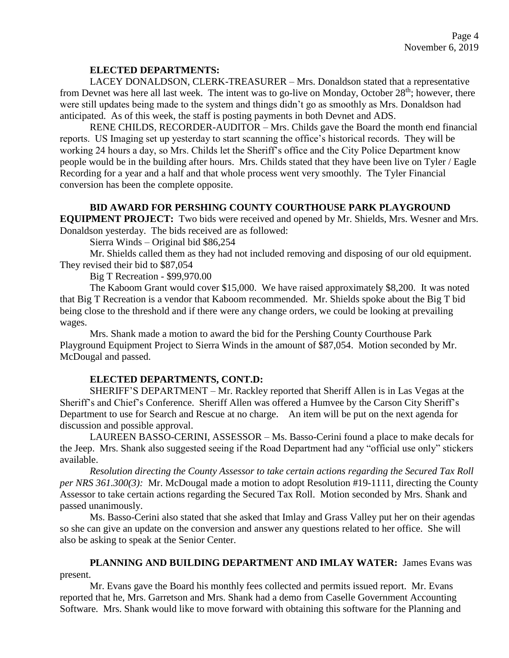### **ELECTED DEPARTMENTS:**

LACEY DONALDSON, CLERK-TREASURER – Mrs. Donaldson stated that a representative from Devnet was here all last week. The intent was to go-live on Monday, October 28<sup>th</sup>; however, there were still updates being made to the system and things didn't go as smoothly as Mrs. Donaldson had anticipated. As of this week, the staff is posting payments in both Devnet and ADS.

RENE CHILDS, RECORDER-AUDITOR – Mrs. Childs gave the Board the month end financial reports. US Imaging set up yesterday to start scanning the office's historical records. They will be working 24 hours a day, so Mrs. Childs let the Sheriff's office and the City Police Department know people would be in the building after hours. Mrs. Childs stated that they have been live on Tyler / Eagle Recording for a year and a half and that whole process went very smoothly. The Tyler Financial conversion has been the complete opposite.

### **BID AWARD FOR PERSHING COUNTY COURTHOUSE PARK PLAYGROUND**

**EQUIPMENT PROJECT:** Two bids were received and opened by Mr. Shields, Mrs. Wesner and Mrs. Donaldson yesterday. The bids received are as followed:

Sierra Winds – Original bid \$86,254

Mr. Shields called them as they had not included removing and disposing of our old equipment. They revised their bid to \$87,054

Big T Recreation - \$99,970.00

The Kaboom Grant would cover \$15,000. We have raised approximately \$8,200. It was noted that Big T Recreation is a vendor that Kaboom recommended. Mr. Shields spoke about the Big T bid being close to the threshold and if there were any change orders, we could be looking at prevailing wages.

Mrs. Shank made a motion to award the bid for the Pershing County Courthouse Park Playground Equipment Project to Sierra Winds in the amount of \$87,054. Motion seconded by Mr. McDougal and passed.

#### **ELECTED DEPARTMENTS, CONT.D:**

SHERIFF'S DEPARTMENT – Mr. Rackley reported that Sheriff Allen is in Las Vegas at the Sheriff's and Chief's Conference. Sheriff Allen was offered a Humvee by the Carson City Sheriff's Department to use for Search and Rescue at no charge. An item will be put on the next agenda for discussion and possible approval.

LAUREEN BASSO-CERINI, ASSESSOR – Ms. Basso-Cerini found a place to make decals for the Jeep. Mrs. Shank also suggested seeing if the Road Department had any "official use only" stickers available.

*Resolution directing the County Assessor to take certain actions regarding the Secured Tax Roll per NRS 361.300(3):* Mr. McDougal made a motion to adopt Resolution #19-1111, directing the County Assessor to take certain actions regarding the Secured Tax Roll. Motion seconded by Mrs. Shank and passed unanimously.

Ms. Basso-Cerini also stated that she asked that Imlay and Grass Valley put her on their agendas so she can give an update on the conversion and answer any questions related to her office. She will also be asking to speak at the Senior Center.

**PLANNING AND BUILDING DEPARTMENT AND IMLAY WATER:** James Evans was present.

Mr. Evans gave the Board his monthly fees collected and permits issued report. Mr. Evans reported that he, Mrs. Garretson and Mrs. Shank had a demo from Caselle Government Accounting Software. Mrs. Shank would like to move forward with obtaining this software for the Planning and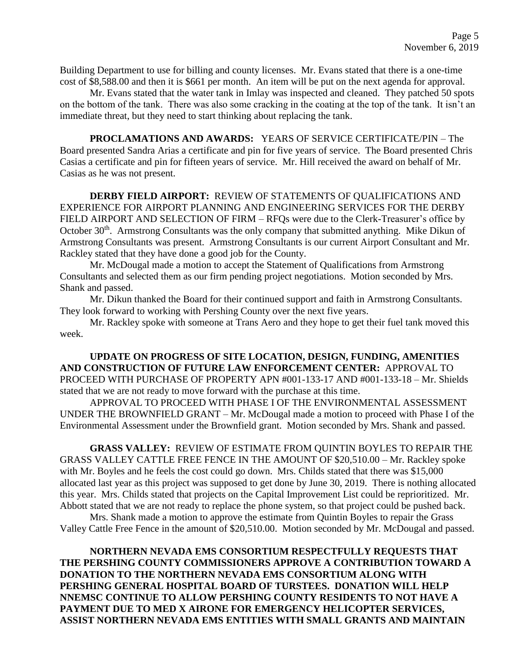Building Department to use for billing and county licenses. Mr. Evans stated that there is a one-time cost of \$8,588.00 and then it is \$661 per month. An item will be put on the next agenda for approval.

Mr. Evans stated that the water tank in Imlay was inspected and cleaned. They patched 50 spots on the bottom of the tank. There was also some cracking in the coating at the top of the tank. It isn't an immediate threat, but they need to start thinking about replacing the tank.

 **PROCLAMATIONS AND AWARDS:** YEARS OF SERVICE CERTIFICATE/PIN – The Board presented Sandra Arias a certificate and pin for five years of service. The Board presented Chris Casias a certificate and pin for fifteen years of service. Mr. Hill received the award on behalf of Mr. Casias as he was not present.

**DERBY FIELD AIRPORT:** REVIEW OF STATEMENTS OF QUALIFICATIONS AND EXPERIENCE FOR AIRPORT PLANNING AND ENGINEERING SERVICES FOR THE DERBY FIELD AIRPORT AND SELECTION OF FIRM – RFQs were due to the Clerk-Treasurer's office by October 30<sup>th</sup>. Armstrong Consultants was the only company that submitted anything. Mike Dikun of Armstrong Consultants was present. Armstrong Consultants is our current Airport Consultant and Mr. Rackley stated that they have done a good job for the County.

Mr. McDougal made a motion to accept the Statement of Qualifications from Armstrong Consultants and selected them as our firm pending project negotiations. Motion seconded by Mrs. Shank and passed.

Mr. Dikun thanked the Board for their continued support and faith in Armstrong Consultants. They look forward to working with Pershing County over the next five years.

Mr. Rackley spoke with someone at Trans Aero and they hope to get their fuel tank moved this week.

**UPDATE ON PROGRESS OF SITE LOCATION, DESIGN, FUNDING, AMENITIES AND CONSTRUCTION OF FUTURE LAW ENFORCEMENT CENTER:** APPROVAL TO PROCEED WITH PURCHASE OF PROPERTY APN #001-133-17 AND #001-133-18 – Mr. Shields stated that we are not ready to move forward with the purchase at this time.

APPROVAL TO PROCEED WITH PHASE I OF THE ENVIRONMENTAL ASSESSMENT UNDER THE BROWNFIELD GRANT – Mr. McDougal made a motion to proceed with Phase I of the Environmental Assessment under the Brownfield grant. Motion seconded by Mrs. Shank and passed.

**GRASS VALLEY:** REVIEW OF ESTIMATE FROM QUINTIN BOYLES TO REPAIR THE GRASS VALLEY CATTLE FREE FENCE IN THE AMOUNT OF \$20,510.00 – Mr. Rackley spoke with Mr. Boyles and he feels the cost could go down. Mrs. Childs stated that there was \$15,000 allocated last year as this project was supposed to get done by June 30, 2019. There is nothing allocated this year. Mrs. Childs stated that projects on the Capital Improvement List could be reprioritized. Mr. Abbott stated that we are not ready to replace the phone system, so that project could be pushed back.

Mrs. Shank made a motion to approve the estimate from Quintin Boyles to repair the Grass Valley Cattle Free Fence in the amount of \$20,510.00. Motion seconded by Mr. McDougal and passed.

**NORTHERN NEVADA EMS CONSORTIUM RESPECTFULLY REQUESTS THAT THE PERSHING COUNTY COMMISSIONERS APPROVE A CONTRIBUTION TOWARD A DONATION TO THE NORTHERN NEVADA EMS CONSORTIUM ALONG WITH PERSHING GENERAL HOSPITAL BOARD OF TURSTEES. DONATION WILL HELP NNEMSC CONTINUE TO ALLOW PERSHING COUNTY RESIDENTS TO NOT HAVE A PAYMENT DUE TO MED X AIRONE FOR EMERGENCY HELICOPTER SERVICES, ASSIST NORTHERN NEVADA EMS ENTITIES WITH SMALL GRANTS AND MAINTAIN**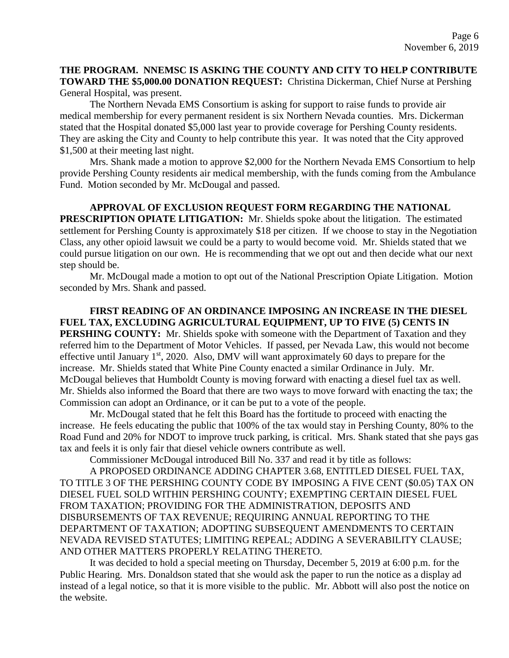# **THE PROGRAM. NNEMSC IS ASKING THE COUNTY AND CITY TO HELP CONTRIBUTE TOWARD THE \$5,000.00 DONATION REQUEST:** Christina Dickerman, Chief Nurse at Pershing General Hospital, was present.

The Northern Nevada EMS Consortium is asking for support to raise funds to provide air medical membership for every permanent resident is six Northern Nevada counties. Mrs. Dickerman stated that the Hospital donated \$5,000 last year to provide coverage for Pershing County residents. They are asking the City and County to help contribute this year. It was noted that the City approved \$1,500 at their meeting last night.

Mrs. Shank made a motion to approve \$2,000 for the Northern Nevada EMS Consortium to help provide Pershing County residents air medical membership, with the funds coming from the Ambulance Fund. Motion seconded by Mr. McDougal and passed.

**APPROVAL OF EXCLUSION REQUEST FORM REGARDING THE NATIONAL PRESCRIPTION OPIATE LITIGATION:** Mr. Shields spoke about the litigation. The estimated settlement for Pershing County is approximately \$18 per citizen. If we choose to stay in the Negotiation Class, any other opioid lawsuit we could be a party to would become void. Mr. Shields stated that we could pursue litigation on our own. He is recommending that we opt out and then decide what our next step should be.

Mr. McDougal made a motion to opt out of the National Prescription Opiate Litigation. Motion seconded by Mrs. Shank and passed.

**FIRST READING OF AN ORDINANCE IMPOSING AN INCREASE IN THE DIESEL FUEL TAX, EXCLUDING AGRICULTURAL EQUIPMENT, UP TO FIVE (5) CENTS IN PERSHING COUNTY:** Mr. Shields spoke with someone with the Department of Taxation and they referred him to the Department of Motor Vehicles. If passed, per Nevada Law, this would not become effective until January  $1<sup>st</sup>$ , 2020. Also, DMV will want approximately 60 days to prepare for the increase. Mr. Shields stated that White Pine County enacted a similar Ordinance in July. Mr. McDougal believes that Humboldt County is moving forward with enacting a diesel fuel tax as well. Mr. Shields also informed the Board that there are two ways to move forward with enacting the tax; the Commission can adopt an Ordinance, or it can be put to a vote of the people.

Mr. McDougal stated that he felt this Board has the fortitude to proceed with enacting the increase. He feels educating the public that 100% of the tax would stay in Pershing County, 80% to the Road Fund and 20% for NDOT to improve truck parking, is critical. Mrs. Shank stated that she pays gas tax and feels it is only fair that diesel vehicle owners contribute as well.

Commissioner McDougal introduced Bill No. 337 and read it by title as follows:

A PROPOSED ORDINANCE ADDING CHAPTER 3.68, ENTITLED DIESEL FUEL TAX, TO TITLE 3 OF THE PERSHING COUNTY CODE BY IMPOSING A FIVE CENT (\$0.05) TAX ON DIESEL FUEL SOLD WITHIN PERSHING COUNTY; EXEMPTING CERTAIN DIESEL FUEL FROM TAXATION; PROVIDING FOR THE ADMINISTRATION, DEPOSITS AND DISBURSEMENTS OF TAX REVENUE; REQUIRING ANNUAL REPORTING TO THE DEPARTMENT OF TAXATION; ADOPTING SUBSEQUENT AMENDMENTS TO CERTAIN NEVADA REVISED STATUTES; LIMITING REPEAL; ADDING A SEVERABILITY CLAUSE; AND OTHER MATTERS PROPERLY RELATING THERETO.

It was decided to hold a special meeting on Thursday, December 5, 2019 at 6:00 p.m. for the Public Hearing. Mrs. Donaldson stated that she would ask the paper to run the notice as a display ad instead of a legal notice, so that it is more visible to the public. Mr. Abbott will also post the notice on the website.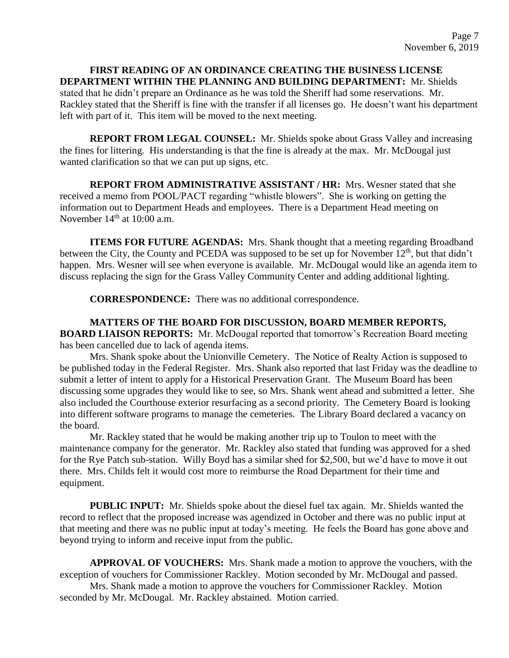**FIRST READING OF AN ORDINANCE CREATING THE BUSINESS LICENSE DEPARTMENT WITHIN THE PLANNING AND BUILDING DEPARTMENT:** Mr. Shields stated that he didn't prepare an Ordinance as he was told the Sheriff had some reservations. Mr. Rackley stated that the Sheriff is fine with the transfer if all licenses go. He doesn't want his department left with part of it. This item will be moved to the next meeting.

**REPORT FROM LEGAL COUNSEL:** Mr. Shields spoke about Grass Valley and increasing the fines for littering. His understanding is that the fine is already at the max. Mr. McDougal just wanted clarification so that we can put up signs, etc.

**REPORT FROM ADMINISTRATIVE ASSISTANT / HR:** Mrs. Wesner stated that she received a memo from POOL/PACT regarding "whistle blowers". She is working on getting the information out to Department Heads and employees. There is a Department Head meeting on November  $14<sup>th</sup>$  at 10:00 a.m.

**ITEMS FOR FUTURE AGENDAS:** Mrs. Shank thought that a meeting regarding Broadband between the City, the County and PCEDA was supposed to be set up for November 12<sup>th</sup>, but that didn't happen. Mrs. Wesner will see when everyone is available. Mr. McDougal would like an agenda item to discuss replacing the sign for the Grass Valley Community Center and adding additional lighting.

**CORRESPONDENCE:** There was no additional correspondence.

**MATTERS OF THE BOARD FOR DISCUSSION, BOARD MEMBER REPORTS, BOARD LIAISON REPORTS:** Mr. McDougal reported that tomorrow's Recreation Board meeting has been cancelled due to lack of agenda items.

Mrs. Shank spoke about the Unionville Cemetery. The Notice of Realty Action is supposed to be published today in the Federal Register. Mrs. Shank also reported that last Friday was the deadline to submit a letter of intent to apply for a Historical Preservation Grant. The Museum Board has been discussing some upgrades they would like to see, so Mrs. Shank went ahead and submitted a letter. She also included the Courthouse exterior resurfacing as a second priority. The Cemetery Board is looking into different software programs to manage the cemeteries. The Library Board declared a vacancy on the board.

Mr. Rackley stated that he would be making another trip up to Toulon to meet with the maintenance company for the generator. Mr. Rackley also stated that funding was approved for a shed for the Rye Patch sub-station. Willy Boyd has a similar shed for \$2,500, but we'd have to move it out there. Mrs. Childs felt it would cost more to reimburse the Road Department for their time and equipment.

**PUBLIC INPUT:** Mr. Shields spoke about the diesel fuel tax again. Mr. Shields wanted the record to reflect that the proposed increase was agendized in October and there was no public input at that meeting and there was no public input at today's meeting. He feels the Board has gone above and beyond trying to inform and receive input from the public.

**APPROVAL OF VOUCHERS:** Mrs. Shank made a motion to approve the vouchers, with the exception of vouchers for Commissioner Rackley. Motion seconded by Mr. McDougal and passed. Mrs. Shank made a motion to approve the vouchers for Commissioner Rackley. Motion seconded by Mr. McDougal. Mr. Rackley abstained. Motion carried.